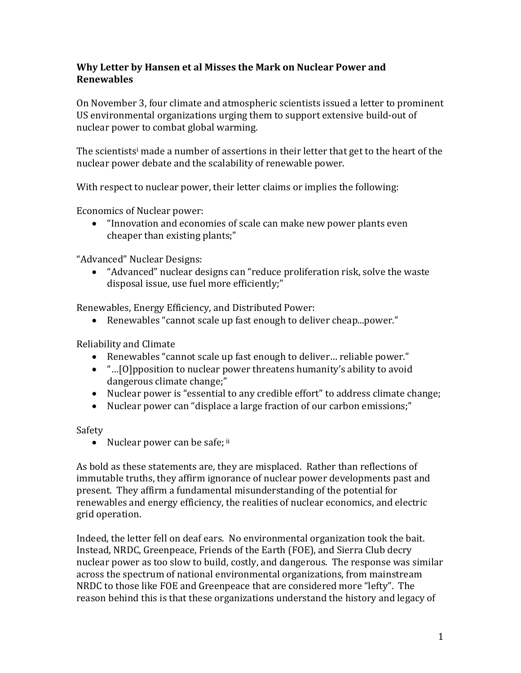## **Why Letter by Hansen et al Misses the Mark on Nuclear Power and Renewables**

On November 3, four climate and atmospheric scientists issued a letter to prominent US environmental organizations urging them to support extensive build-out of nuclear power to combat global warming.

The scientists[i](#page-1-0) made a number of assertions in their letter that get to the heart of the nuclear power debate and the scalability of renewable power.

With respect to nuclear power, their letter claims or implies the following:

Economics of Nuclear power:

• "Innovation and economies of scale can make new power plants even cheaper than existing plants;"

"Advanced" Nuclear Designs:

• "Advanced" nuclear designs can "reduce proliferation risk, solve the waste disposal issue, use fuel more efficiently;"

Renewables, Energy Efficiency, and Distributed Power:

• Renewables "cannot scale up fast enough to deliver cheap...power."

Reliability and Climate

- Renewables "cannot scale up fast enough to deliver… reliable power."
- "...[O]pposition to nuclear power threatens humanity's ability to avoid dangerous climate change;"
- Nuclear power is "essential to any credible effort" to address climate change;
- Nuclear power can "displace a large fraction of our carbon emissions;"

Safety

• Nuclear power can be safe; [ii](#page-1-1)

As bold as these statements are, they are misplaced. Rather than reflections of immutable truths, they affirm ignorance of nuclear power developments past and present. They affirm a fundamental misunderstanding of the potential for renewables and energy efficiency, the realities of nuclear economics, and electric grid operation.

Indeed, the letter fell on deaf ears. No environmental organization took the bait. Instead, NRDC, Greenpeace, Friends of the Earth (FOE), and Sierra Club decry nuclear power as too slow to build, costly, and dangerous. The response was similar across the spectrum of national environmental organizations, from mainstream NRDC to those like FOE and Greenpeace that are considered more "lefty". The reason behind this is that these organizations understand the history and legacy of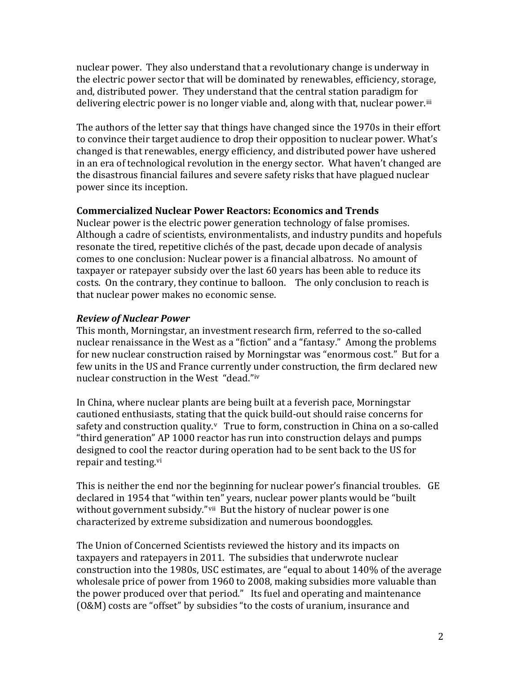<span id="page-1-0"></span>nuclear power. They also understand that a revolutionary change is underway in the electric power sector that will be dominated by renewables, efficiency, storage, and, distributed power. They understand that the central station paradigm for delivering electric power is no longer viable and, along with that, nuclear power.<sup>[iii](#page-2-0)</sup>

<span id="page-1-1"></span>The authors of the letter say that things have changed since the 1970s in their effort to convince their target audience to drop their opposition to nuclear power. What's changed is that renewables, energy efficiency, and distributed power have ushered in an era of technological revolution in the energy sector. What haven't changed are the disastrous financial failures and severe safety risks that have plagued nuclear power since its inception.

### **Commercialized Nuclear Power Reactors: Economics and Trends**

Nuclear power is the electric power generation technology of false promises. Although a cadre of scientists, environmentalists, and industry pundits and hopefuls resonate the tired, repetitive clichés of the past, decade upon decade of analysis comes to one conclusion: Nuclear power is a financial albatross. No amount of taxpayer or ratepayer subsidy over the last 60 years has been able to reduce its costs. On the contrary, they continue to balloon. The only conclusion to reach is that nuclear power makes no economic sense.

## *Review of Nuclear Power*

This month, Morningstar, an investment research firm, referred to the so-called nuclear renaissance in the West as a "fiction" and a "fantasy." Among the problems for new nuclear construction raised by Morningstar was "enormous cost." But for a few units in the US and France currently under construction, the firm declared new nuclear construction in the West "dead."[iv](#page-2-1)

In China, where nuclear plants are being built at a feverish pace, Morningstar cautioned enthusiasts, stating that the quick build-out should raise concerns for safety and construction quality. $v$  True to form, construction in China on a so-called "third generation" AP 1000 reactor has run into construction delays and pumps designed to cool t[he](#page-2-3) reactor during operation had to be sent back to the US for repair and testing.<sup>vi</sup>

This is neither the end nor the beginning for nuclear power's financial troubles. GE declared in 1954 that "within ten" years, nuclear power plants would be "built without government subsidy."<sup>vii</sup> But the history of nuclear power is one characterized by extreme subsidization and numerous boondoggles.

The Union of Concerned Scientists reviewed the history and its impacts on taxpayers and ratepayers in 2011. The subsidies that underwrote nuclear construction into the 1980s, USC estimates, are "equal to about 140% of the average wholesale price of power from 1960 to 2008, making subsidies more valuable than the power produced over that period." Its fuel and operating and maintenance (O&M) costs are "offset" by subsidies "to the costs of uranium, insurance and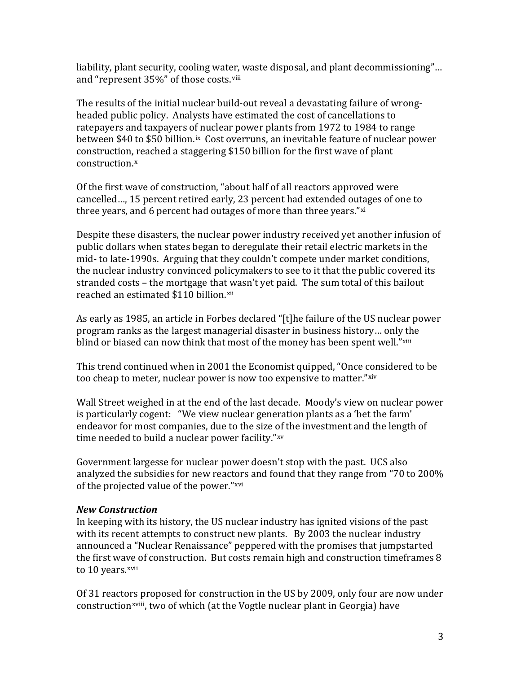liability, plant security, cooling water, waste disposal, and plant decommissioning"… and "represent 35%" of those costs.[viii](#page-3-0) 

The results of the initial nuclear build-out reveal a devastating failure of wrongheaded public policy. Analysts have estimated the cost of cancellations to ratepayers and taxpayers of nuclear power plants from 1972 to 1984 to range between \$40 to \$50 billion.<sup>ix</sup> Cost overruns, an inevitable feature of nuclear power construction, reached a staggering \$150 billion for the first wave of plant construction.[x](#page-3-2)

<span id="page-2-0"></span>Of the first wave of construction, "about half of all reactors approved were cancelled…, 15 percent retired early, 23 percent had extended outages of one to three years, and 6 percent had outages of more than three years."[xi](#page-3-3)

<span id="page-2-4"></span><span id="page-2-3"></span><span id="page-2-2"></span><span id="page-2-1"></span>Despite these disasters, the nuclear power industry received yet another infusion of public dollars when states began to deregulate their retail electric markets in the mid- to late-1990s. Arguing that they couldn't compete under market conditions, the nuclear industry convinced policymakers to see to it that the public covered its stranded costs – the mortgage that wasn't yet paid. The sum total of this bailout reached an estimated \$110 billion.<sup>[xii](#page-3-4)</sup>

As early as 1985, an article in Forbes declared "[t]he failure of the US nuclear power program ranks as the largest managerial disaster in business history… only the blind or biased can now think that most of the money has been spent well."<sup>[xiii](#page-3-5)</sup>

This trend continued when in 2001 the Economist quipped, "Once considered to be too cheap to meter, nuclear power is now too expensive to matter."[xiv](#page-3-6)

Wall Street weighed in at the end of the last decade. Moody's view on nuclear power is particularly cogent: "We view nuclear generation plants as a 'bet the farm' endeavor for most companies, due to the size of the investment and the length of time needed to build a nuclear power facility."[xv](#page-3-7)

Government largesse for nuclear power doesn't stop with the past. UCS also analyzed the subsidies for new reactors and found that they range from "70 to 200% of the projected value of the power."[xvi](#page-3-8)

# *New Construction*

In keeping with its history, the US nuclear industry has ignited visions of the past with its recent attempts to construct new plants. By 2003 the nuclear industry announced a "Nuclear Renaissance" peppered with the promises that jumpstarted the first wave of construction. But costs remain high and construction timeframes 8 to 10 years.[xvii](#page-3-9)

Of 31 reactors propose[d](#page-3-10) for construction in the US by 2009, only four are now under construction<sup>xviii</sup>, two of which (at the Vogtle nuclear plant in Georgia) have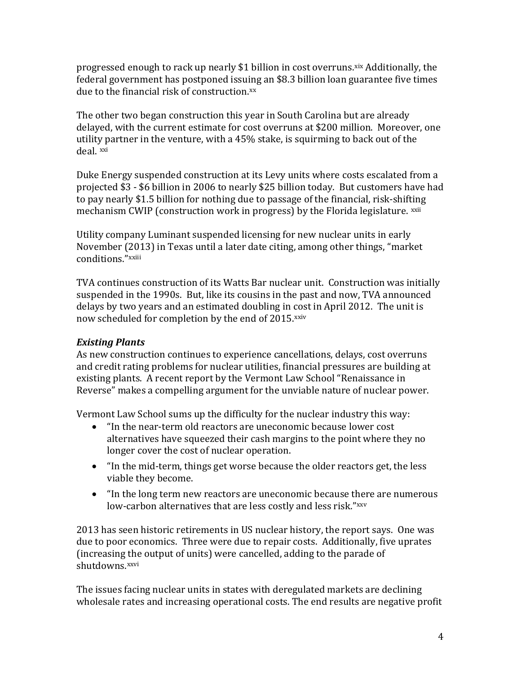progressed enough to rack up nearly \$1 billion in cost overruns. xix Additionally, the federal government has postponed issu[in](#page-4-1)g an \$8.3 billion loan g[ua](#page-4-0)rantee five times due to the financial risk of construction. xx

The other two began construction this year in South Carolina but are already delayed, with the current estimate for cost overruns at \$200 million. Moreover, one utility partner in the venture, with a 45% stake, is squirming to back out of the deal. [xxi](#page-4-2)

Duke Energy suspended construction at its Levy units where costs escalated from a projected \$3 - \$6 billion in 2006 to nearly \$25 billion today. But customers have had to pay nearly \$1.5 billion for nothing due to passage of the financial, risk-shifting mechanism CWIP (construction work in progress) by the Florida legislature. [xxii](#page-4-3)

Utility compan[y](#page-4-4) Luminant suspended licensing for new nuclear units in early November (2013) in Texas until a later date citing, among other things, "market conditions."xxiii

<span id="page-3-0"></span>TVA continues construction of its Watts Bar nuclear unit. Construction was initially suspended in the 1990s. But, like its cousins in the past and now, TVA announced delays by two years and an estimated doubling in cost in April 2012. The unit is now scheduled for completion by the end of 2015.[xxiv](#page-4-5)

# <span id="page-3-3"></span><span id="page-3-2"></span><span id="page-3-1"></span>*Existing Plants*

<span id="page-3-4"></span>As new construction continues to experience cancellations, delays, cost overruns and credit rating problems for nuclear utilities, financial pressures are building at existing plants. A recent report by the Vermont Law School "Renaissance in Reverse" makes a compelling argument for the unviable nature of nuclear power.

<span id="page-3-8"></span><span id="page-3-7"></span><span id="page-3-6"></span><span id="page-3-5"></span>Vermont Law School sums up the difficulty for the nuclear industry this way:

- "In the near-term old reactors are uneconomic because lower cost alternatives have squeezed their cash margins to the point where they no longer cover the cost of nuclear operation.
- <span id="page-3-9"></span>• "In the mid-term, things get worse because the older reactors get, the less viable they become.
- "In the long term new reactors are uneconomic because there are numerous low-carbon alternatives that are less costly and less risk."[xxv](#page-4-6)

<span id="page-3-10"></span>2013 has seen historic retirements in US nuclear history, the report says. One was due to poor economics. Three were due to repair costs. Additionally, five uprates (increasing the output of units) were cancelled, adding to the parade of shutdowns.[xxvi](#page-4-7)

The issues facing nuclear units in states with deregulated markets are declining wholesale rates and increasing operational costs. The end results are negative profit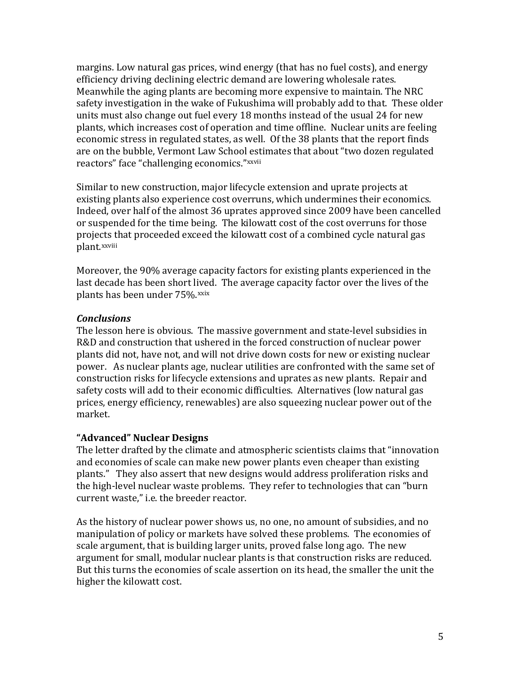<span id="page-4-4"></span><span id="page-4-3"></span>margins. Low natural gas prices, wind energy (that has no fuel costs), and energy efficiency driving declining electric demand are lowering wholesale rates. Meanwhile the aging plants are becoming more expensive to maintain. The NRC safety investigation in the wake of Fukushima will probably add to that. These older units must also change out fuel every 18 months instead of the usual 24 for new plants, which increases cost of operation and time offline. Nuclear units are feeling economic stress in regulated states, as wel[l.](#page-5-0) Of the 38 plants that the report finds are on the bubble, Vermont Law School estimates that about "two dozen regulated reactors" face "challenging economics." xxvii

<span id="page-4-7"></span><span id="page-4-6"></span><span id="page-4-5"></span>Similar to new construction, major lifecycle extension and uprate projects at existing plants also experience cost overruns, which undermines their economics. Indeed, over half of the almost 36 uprates approved since 2009 have been cancelled or suspe[nd](#page-5-1)ed for the time being. The kilowatt cost of the cost overruns for those projects that proceeded exceed the kilowatt cost of a combined cycle natural gas plant.xxviii

Moreover, the 90% average capacity factors for existing plants experienced in the last decade has been short lived. The average capacity factor over the lives of the plants has been under 75%.[xxix](#page-5-2)

## *Conclusions*

The lesson here is obvious. The massive government and state-level subsidies in R&D and construction that ushered in the forced construction of nuclear power plants did not, have not, and will not drive down costs for new or existing nuclear power. As nuclear plants age, nuclear utilities are confronted with the same set of construction risks for lifecycle extensions and uprates as new plants. Repair and safety costs will add to their economic difficulties. Alternatives (low natural gas prices, energy efficiency, renewables) are also squeezing nuclear power out of the market.

## **"Advanced" Nuclear Designs**

The letter drafted by the climate and atmospheric scientists claims that "innovation and economies of scale can make new power plants even cheaper than existing plants." They also assert that new designs would address proliferation risks and the high-level nuclear waste problems. They refer to technologies that can "burn current waste," i.e. the breeder reactor.

<span id="page-4-2"></span><span id="page-4-1"></span><span id="page-4-0"></span>As the history of nuclear power shows us, no one, no amount of subsidies, and no manipulation of policy or markets have solved these problems. The economies of scale argument, that is building larger units, proved false long ago. The new argument for small, modular nuclear plants is that construction risks are reduced. But this turns the economies of scale assertion on its head, the smaller the unit the higher the kilowatt cost.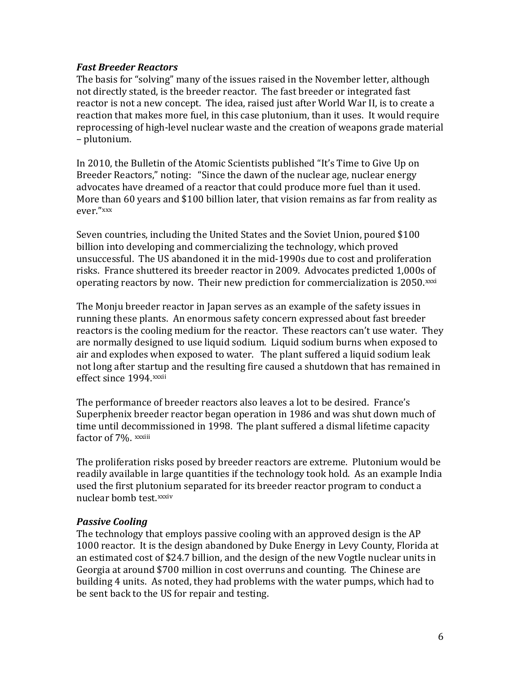## *Fast Breeder Reactors*

The basis for "solving" many of the issues raised in the November letter, although not directly stated, is the breeder reactor. The fast breeder or integrated fast reactor is not a new concept. The idea, raised just after World War II, is to create a reaction that makes more fuel, in this case plutonium, than it uses. It would require reprocessing of high-level nuclear waste and the creation of weapons grade material – plutonium.

<span id="page-5-0"></span>In 2010, the Bulletin of the Atomic Scientists published "It's Time to Give Up on Breeder Reactors," noting: "Since the dawn of the nuclear age, nuclear energy advocates have dreamed of a reactor that could produce more fuel than it used. More than 60 years and \$100 billion later, that vision remains as far from reality as ever."[xxx](#page-6-0)

<span id="page-5-2"></span><span id="page-5-1"></span>Seven countries, including the United States and the Soviet Union, poured \$100 billion into developing and commercializing the technology, which proved unsuccessful. The US abandoned it in the mid-1990s due to cost and proliferation risks. France shuttered its breeder reactor in 2009. Advocates predicted 1,000s of operating reactors by now. Their new prediction for commercialization is  $2050$ <sup>[xxxi](#page-6-1)</sup>

The Monju breeder reactor in Japan serves as an example of the safety issues in running these plants. An enormous safety concern expressed about fast breeder reactors is the cooling medium for the reactor. These reactors can't use water. They are normally designed to use liquid sodium. Liquid sodium burns when exposed to air and explodes wh[en](#page-6-2) exposed to water. The plant suffered a liquid sodium leak not long after startup and the resulting fire caused a shutdown that has remained in effect since 1994.xxxii

The performance of breeder reactors also leaves a lot to be desired. France's Superphenix bre[e](#page-6-3)der reactor began operation in 1986 and was shut down much of time until decommissioned in 1998. The plant suffered a dismal lifetime capacity factor of 7%. xxxiii

The proliferation risks posed by breeder reactors are extreme. Plutonium would be readily available in la[rg](#page-6-4)e quantities if the technology took hold. As an example India used the first plutonium separated for its breeder reactor program to conduct a nuclear bomb test.xxxiv

## *Passive Cooling*

The technology that employs passive cooling with an approved design is the AP 1000 reactor. It is the design abandoned by Duke Energy in Levy County, Florida at an estimated cost of \$24.7 billion, and the design of the new Vogtle nuclear units in Georgia at around \$700 million in cost overruns and counting. The Chinese are building 4 units. As noted, they had problems with the water pumps, which had to be sent back to the US for repair and testing.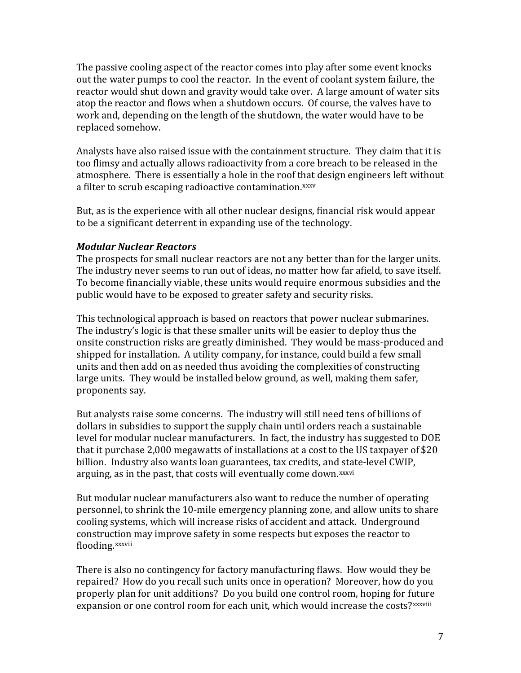The passive cooling aspect of the reactor comes into play after some event knocks out the water pumps to cool the reactor. In the event of coolant system failure, the reactor would shut down and gravity would take over. A large amount of water sits atop the reactor and flows when a shutdown occurs. Of course, the valves have to work and, depending on the length of the shutdown, the water would have to be replaced somehow.

Analysts have also raised issue with the containment structure. They claim that it is too flimsy and actually allows radioactivity from a core breach to be released in the atmosphere. There is essentially a hole in the roof t[hat](#page-7-0) design engineers left without a filter to scrub escaping radioactive contamination. xxxv

But, as is the experience with all other nuclear designs, financial risk would appear to be a significant deterrent in expanding use of the technology.

## <span id="page-6-0"></span>*Modular Nuclear Reactors*

<span id="page-6-1"></span>The prospects for small nuclear reactors are not any better than for the larger units. The industry never seems to run out of ideas, no matter how far afield, to save itself. To become financially viable, these units would require enormous subsidies and the public would have to be exposed to greater safety and security risks.

<span id="page-6-4"></span><span id="page-6-3"></span><span id="page-6-2"></span>This technological approach is based on reactors that power nuclear submarines. The industry's logic is that these smaller units will be easier to deploy thus the onsite construction risks are greatly diminished. They would be mass-produced and shipped for installation. A utility company, for instance, could build a few small units and then add on as needed thus avoiding the complexities of constructing large units. They would be installed below ground, as well, making them safer, proponents say.

But analysts raise some concerns. The industry will still need tens of billions of dollars in subsidies to support the supply chain until orders reach a sustainable level for modular nuclear manufacturers. In fact, the industry has suggested to DOE that it purchase 2,000 megawatts of installations at a cost to the US taxpayer of \$20 billion. Industry also wants loan guarantees, tax credits, and sta[te](#page-7-1)-level CWIP, arguing, as in the past, that costs will eventually come down.xxxvi

But modular nuclear manufacturers also want to reduce the number of operating personnel, to shrink the 10-mile emergency planning zone, and allow units to share cooling syst[em](#page-7-2)s, which will increase risks of accident and attack. Underground construction may improve safety in some respects but exposes the reactor to flooding.xxxvii

There is also no contingency for factory manufacturing flaws. How would they be repaired? How do you recall such units once in operation? Moreover, how do yo[u](#page-7-3)  properly plan for unit additions? Do you build one control room, hoping for future expansion or one control room for each unit, which would increase the costs?xxxviii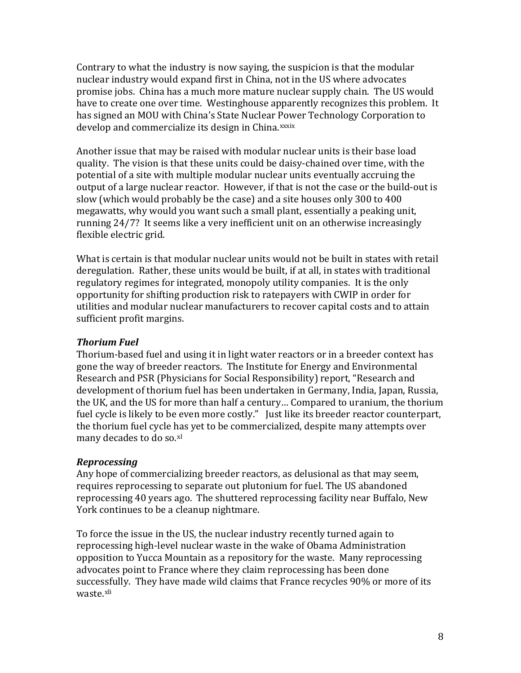Contrary to what the industry is now saying, the suspicion is that the modular nuclear industry would expand first in China, not in the US where advocates promise jobs. China has a much more mature nuclear supply chain. The US would have to create one over time. Westinghouse appa[re](#page-8-0)ntly recognizes this problem. It has signed an MOU with China's State Nuclear Power Technology Corporation to develop and commercialize its design in China.<sup>xxxix</sup>

Another issue that may be raised with modular nuclear units is their base load quality. The vision is that these units could be daisy-chained over time, with the potential of a site with multiple modular nuclear units eventually accruing the output of a large nuclear reactor. However, if that is not the case or the build-out is slow (which would probably be the case) and a site houses only 300 to 400 megawatts, why would you want such a small plant, essentially a peaking unit, running 24/7? It seems like a very inefficient unit on an otherwise increasingly flexible electric grid.

What is certain is that modular nuclear units would not be built in states with retail deregulation. Rather, these units would be built, if at all, in states with traditional regulatory regimes for integrated, monopoly utility companies. It is the only opportunity for shifting production risk to ratepayers with CWIP in order for utilities and modular nuclear manufacturers to recover capital costs and to attain sufficient profit margins.

## <span id="page-7-0"></span>*Thorium Fuel*

<span id="page-7-2"></span><span id="page-7-1"></span>Thorium-based fuel and using it in light water reactors or in a breeder context has gone the way of breeder reactors. The Institute for Energy and Environmental Research and PSR (Physicians for Social Responsibility) report, "Research and development of thorium fuel has been undertaken in Germany, India, Japan, Russia, the UK, and the US for more than half a century… Compared to uranium, the thorium fuel cycle is likely to be even more costly." Just like its breeder reactor counterpart, the thorium fuel cycle has yet to be commercialized, despite many attempts over many decades to do so.[xl](#page-8-1)

# <span id="page-7-3"></span>*Reprocessing*

Any hope of commercializing breeder reactors, as delusional as that may seem, requires reprocessing to separate out plutonium for fuel. The US abandoned reprocessing 40 years ago. The shuttered reprocessing facility near Buffalo, New York continues to be a cleanup nightmare.

To force the issue in the US, the nuclear industry recently turned again to reprocessing high-level nuclear waste in the wake of Obama Administration opposition to Yucca Mountain as a repository for the waste. Many reprocessing advocates point to France where they claim reprocessing has been done successfully. They have made wild claims that France recycles 90% or more of its waste.[xli](#page-8-2)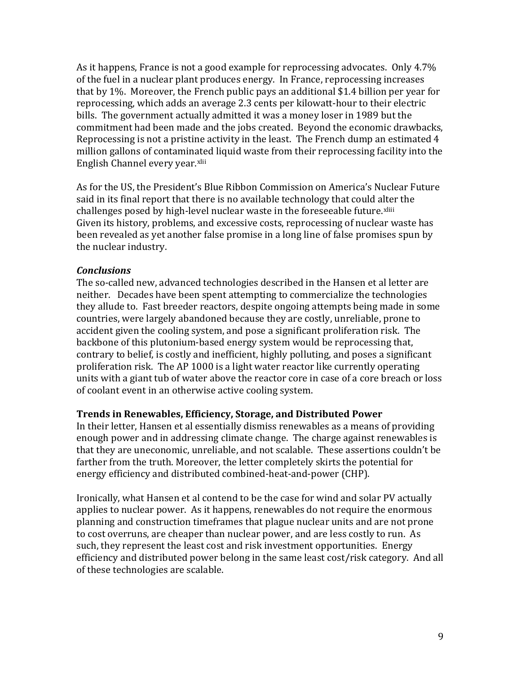As it happens, France is not a good example for reprocessing advocates. Only 4.7% of the fuel in a nuclear plant produces energy. In France, reprocessing increases that by 1%. Moreover, the French public pays an additional \$1.4 billion per year for reprocessing, which adds an average 2.3 cents per kilowatt-hour to their electric bills. The government actually admitted it was a money loser in 1989 but the commitment had been made and the jobs created. Beyond the economic drawbacks, Reprocessing is not a pristine activity in the least. The French dump an estimated 4 million gallons of contaminated liquid waste from their reprocessing facility into the English Channel every year.[xlii](#page-9-0)

As for the US, the President's Blue Ribbon Commission on America's Nucl[e](#page-9-1)ar Future said in its final report that there is no available technology that could alter the challenges posed by high-level nuclear waste in the foreseeable future. xliii Given its history, problems, and excessive costs, reprocessing of nuclear waste has been revealed as yet another false promise in a long line of false promises spun by the nuclear industry.

### *Conclusions*

The so-called new, advanced technologies described in the Hansen et al letter are neither. Decades have been spent attempting to commercialize the technologies they allude to. Fast breeder reactors, despite ongoing attempts being made in some countries, were largely abandoned because they are costly, unreliable, prone to accident given the cooling system, and pose a significant proliferation risk. The backbone of this plutonium-based energy system would be reprocessing that, contrary to belief, is costly and inefficient, highly polluting, and poses a significant proliferation risk. The AP 1000 is a light water reactor like currently operating units with a giant tub of water above the reactor core in case of a core breach or loss of coolant event in an otherwise active cooling system.

#### **Trends in Renewables, Efficiency, Storage, and Distributed Power**

<span id="page-8-1"></span><span id="page-8-0"></span>In their letter, Hansen et al essentially dismiss renewables as a means of providing enough power and in addressing climate change. The charge against renewables is that they are uneconomic, unreliable, and not scalable. These assertions couldn't be farther from the truth. Moreover, the letter completely skirts the potential for energy efficiency and distributed combined-heat-and-power (CHP).

<span id="page-8-2"></span>Ironically, what Hansen et al contend to be the case for wind and solar PV actually applies to nuclear power. As it happens, renewables do not require the enormous planning and construction timeframes that plague nuclear units and are not prone to cost overruns, are cheaper than nuclear power, and are less costly to run. As such, they represent the least cost and risk investment opportunities. Energy efficiency and distributed power belong in the same least cost/risk category. And all of these technologies are scalable.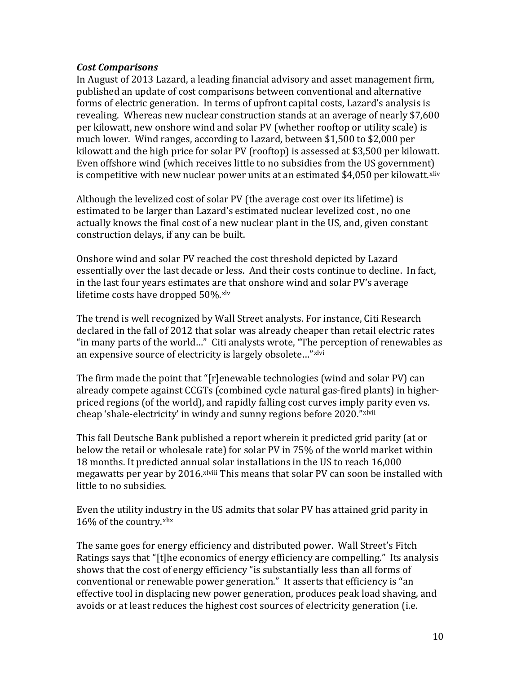## *Cost Comparisons*

In August of 2013 Lazard, a leading financial advisory and asset management firm, published an update of cost comparisons between conventional and alternative forms of electric generation. In terms of upfront capital costs, Lazard's analysis is revealing. Whereas new nuclear construction stands at an average of nearly \$7,600 per kilowatt, new onshore wind and solar PV (whether rooftop or utility scale) is much lower. Wind ranges, according to Lazard, between \$1,500 to \$2,000 per kilowatt and the high price for solar PV (rooftop) is assessed at \$3,500 per kilowatt. Even offshore wind (which receives little to no subsidies from the US government) is competitive with new nuclear power units at an estimated \$4,050 per kilowatt. $x$ liv

Although the levelized cost of solar PV (the average cost over its lifetime) is estimated to be larger than Lazard's estimated nuclear levelized cost , no one actually knows the final cost of a new nuclear plant in the US, and, given constant construction delays, if any can be built.

Onshore wind and solar PV reached the cost threshold depicted by Lazard essentially over the last decade or less. And their costs continue to decline. In fact, in the last four years estimates are that onshore wind and solar PV's average lifetime costs have dropped 50%.[xlv](#page-10-1)

The trend is well recognized by Wall Street analysts. For instance, Citi Research declared in the fall of 2012 that solar was already cheaper than retail electric rates "in many parts of the world…" Citi analysts wrote, "The perception of renewables as an expensive source of electricity is largely obsolete..."<sup>[xlvi](#page-10-2)</sup>

The firm made the point that "[r]enewable technologies (wind and solar PV) can already compete against CCGTs (combined cycle natural gas-fired pl[an](#page-10-3)ts) in higherpriced regions (of the world), and rapidly falling cost curves imply parity even vs. cheap 'shale-electricity' in windy and sunny regions before 2020."xlvii

This fall Deutsche Bank published a report wherein it predicted grid parity (at or below the retail or wholesale rate) for solar PV in 75% of the world market within 18 months. It predicted annual s[o](#page-10-4)lar installations in the US to reach 16,000 megawatts per year by 2016. xlviii This means that solar PV can soon be installed with little to no subsidies.

<span id="page-9-1"></span><span id="page-9-0"></span>Even the utility industry in the US admits that solar PV has attained grid parity in 16% of the country.[xlix](#page-10-5)

The same goes for energy efficiency and distributed power. Wall Street's Fitch Ratings says that "[t]he economics of energy efficiency are compelling." Its analysis shows that the cost of energy efficiency "is substantially less than all forms of conventional or renewable power generation." It asserts that efficiency is "an effective tool in displacing new power generation, produces peak load shaving, and avoids or at least reduces the highest cost sources of electricity generation (i.e.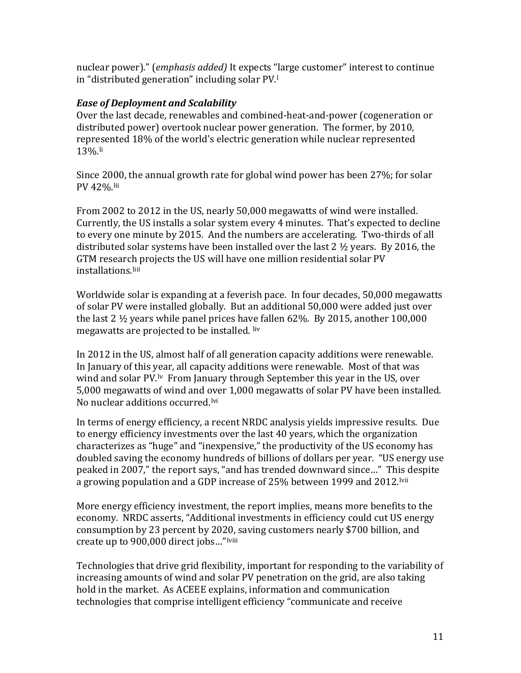<span id="page-10-2"></span>nuclear power)." (*emphasis added)* It expects ["l](#page-11-0)arge customer" interest to continue in "distributed generation" including solar PV.l

## <span id="page-10-3"></span>*Ease of Deployment and Scalability*

<span id="page-10-4"></span>Over the last decade, renewables and combined-heat-and-power (cogeneration or distributed power) overtook nuclear power generation. The former, by 2010, represented 18% of the world's electric generation while nuclear represented 13%.[li](#page-11-1)

<span id="page-10-5"></span>Since 2000, the annual growth rate for global wind power has been 27%; for solar PV 42%.[lii](#page-11-2)

From 2002 to 2012 in the US, nearly 50,000 megawatts of wind were installed. Currently, the US installs a solar system every 4 minutes. That's expected to decline to every one minute by 2015. And the numbers are accelerating. Two-thirds of all distributed solar systems have been installed over the last 2 ½ years. By 2016, the GTM research projects the US will have one million residential solar PV installations.[liii](#page-11-3)

Worldwide solar is expanding at a feverish pace. In four decades, 50,000 megawatts of solar PV were installed globally. But an additional 50,000 were added just over the last 2 ½ years while panel prices have fallen 62%. By 2015, another 100,000 megawatts are projected to be installed. [liv](#page-11-4)

In 2012 in the US, almost half of all generation capacity additions were renewable. In January of this year, all capacity additions were renewable. Most of that was wind and solar PV.<sup>Iv</sup> From January through September this year in the US, over 5,000 megawatts of wind and over 1,000 megawatts of solar PV have been installed. No nuclear additions occurred.<sup>[lvi](#page-11-6)</sup>

In terms of energy efficiency, a recent NRDC analysis yields impressive results. Due to energy efficiency investments over the last 40 years, which the organization characterizes as "huge" and "inexpensive," the productivity of the US economy has doubled saving the economy hundreds of billions of dollars per year. "US energy use peaked in 2007," the report says, "and has trended downward since…" This despite a growing population and a GDP increase of 25% between 1999 and 2012. Wii

More energy efficiency investment, the report implies, means more benefits to the economy. NRDC asserts, "Additional [i](#page-11-8)nvestments in efficiency could cut US energy consumption by 23 percent by 2020, saving customers nearly \$700 billion, and create up to 900,000 direct jobs…"lviii

<span id="page-10-1"></span><span id="page-10-0"></span>Technologies that drive grid flexibility, important for responding to the variability of increasing amounts of wind and solar PV penetration on the grid, are also taking hold in the market. As ACEEE explains, information and communication technologies that comprise intelligent efficiency "communicate and receive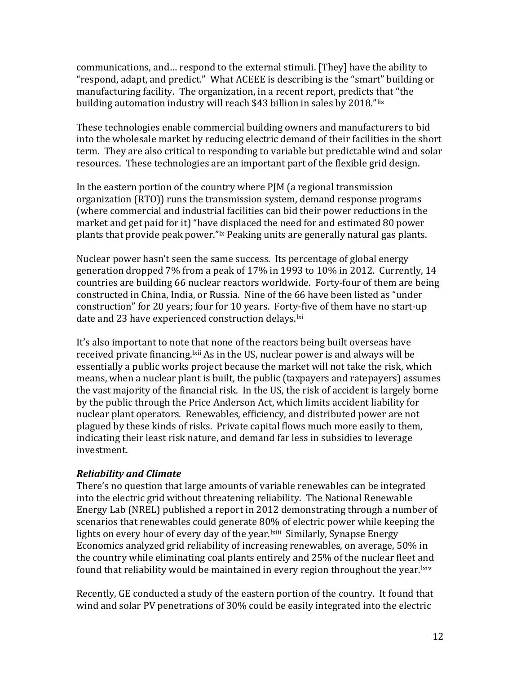communications, and… respond to the external stimuli. [They] have the ability to "respond, adapt, and predict." What ACEEE is describing is the "smart" building or manufacturing facility. The organization, in a recent report, predicts that "the building automation industry will reach \$43 billion in sales by 2018."[lix](#page-12-0)

These technologies enable commercial building owners and manufacturers to bid into the wholesale market by reducing electric demand of their facilities in the short term. They are also critical to responding to variable but predictable wind and solar resources. These technologies are an important part of the flexible grid design.

<span id="page-11-1"></span><span id="page-11-0"></span>In the eastern portion of the country where PJM (a regional transmission organization (RTO)) runs the transmission system, demand response programs (where commercial and industrial facilities can bid their power reductions in the market and get paid for it) "have displaced the need for and estimated 80 power plants that provide peak power."<sup>Ix</sup> Peaking units are generally natural gas plants.

<span id="page-11-4"></span><span id="page-11-3"></span><span id="page-11-2"></span>Nuclear power hasn't seen the same success. Its percentage of global energy generation dropped 7% from a peak of 17% in 1993 to 10% in 2012. Currently, 14 countries are building 66 nuclear reactors worldwide. Forty-four of them are being constructed in China, India, or Russia. Nine of the 66 have been listed as "under construction" for 20 years; four for 10 years. Forty-five of them have no start-up date and 23 have experienced construction delays. Ixi

<span id="page-11-7"></span><span id="page-11-6"></span><span id="page-11-5"></span>It's also important to note that none of the reactors being built overseas have received private financing. <sup>Ixii</sup> As in the US, nuclear power is and always will be essentially a public works project because the market will not take the risk, which means, when a nuclear plant is built, the public (taxpayers and ratepayers) assumes the vast majority of the financial risk. In the US, the risk of accident is largely borne by the public through the Price Anderson Act, which limits accident liability for nuclear plant operators. Renewables, efficiency, and distributed power are not plagued by these kinds of risks. Private capital flows much more easily to them, indicating their least risk nature, and demand far less in subsidies to leverage investment.

## <span id="page-11-8"></span>*Reliability and Climate*

There's no question that large amounts of variable renewables can be integrated into the electric grid without threatening reliability. The National Renewable Energy Lab (NREL) published a report in 2012 demonstrating through a number of scenarios that renewables could generate 80% of electric power while keeping the lightson every hour of every day of the year.<sup>Ixiii</sup> Similarly, Synapse Energy Economics analyzed grid reliability of increasing renewables, on average, 50% in the country while eliminating coal plants entirely and 25% of the nuclear fleet and found that reliability would be maintained in every region throughout the year.  $l_{\text{xiv}}$ 

Recently, GE conducted a study of the eastern portion of the country. It found that wind and solar PV penetrations of 30% could be easily integrated into the electric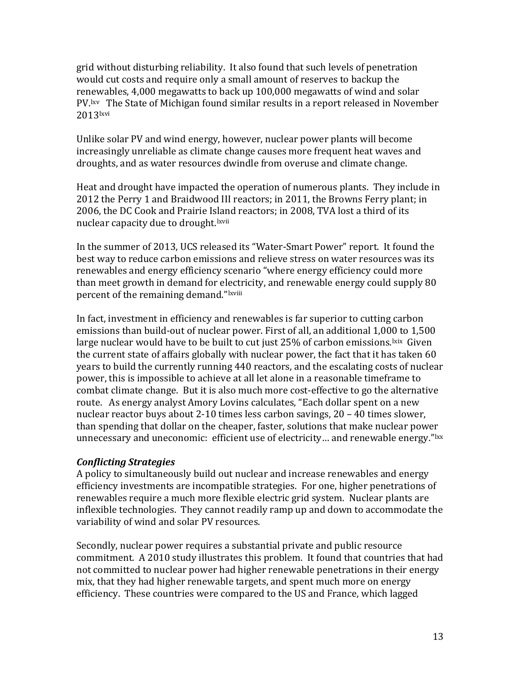grid without disturbing reliability. It also found that such levels of penetration would cut costs and require only a small amount of reserves to backup the renewables, 4,000 megawatts to back up 100,000 megawatts of wind and solar PV.[lxv](#page-13-0) [T](#page-13-1)he State of Michigan found similar results in a report released in November 2013lxvi

Unlike solar PV and wind energy, however, nuclear power plants will become increasingly unreliable as climate change causes more frequent heat waves and droughts, and as water resources dwindle from overuse and climate change.

Heat and drought have impacted the operation of numerous plants. They include in 2012 the Perry 1 and Braidwood II[I](#page-13-2) reactors; in 2011, the Browns Ferry plant; in 2006, the DC Cook and Prairie Island reactors; in 2008, TVA lost a third of its nuclear capacity due to drought. Ixvii

In the summer of 2013, UCS released its "Water-Smart Power" report. It found the best way to reduce carbon emissions and relieve stress on water resources was its renewables and energy efficiency sce[na](#page-13-3)rio "where energy efficiency could more than meet growth in demand for electricity, and renewable energy could supply 80 percent of the remaining demand."Ixviii

In fact, investment in efficiency and renewables is far superior to cutting carbon emissions than build-out of nuclear power. First of all, an additional 1,000 to 1,500 large nuclear would have to be built to cut just  $25\%$  of carbon emissions.  $\frac{lx}{l}$  Given the current state of affairs globally with nuclear power, the fact that it has taken 60 years to build the currently running 440 reactors, and the escalating costs of nuclear power, this is impossible to achieve at all let alone in a reasonable timeframe to combat climate change. But it is also much more cost-effective to go the alternative route. As energy analyst Amory Lovins calculates, "Each dollar spent on a new nuclear reactor buys about 2-10 times less carbon savings, 20 – 40 times slower, than spending that dollar on the cheaper, faster, solutions that make nuclear power unnecessary and uneconomic: efficient use of electricity... and renewable energy."[lxx](#page-13-5)

## <span id="page-12-1"></span><span id="page-12-0"></span>*Conflicting Strategies*

<span id="page-12-4"></span><span id="page-12-3"></span><span id="page-12-2"></span>A policy to simultaneously build out nuclear and increase renewables and energy efficiency investments are incompatible strategies. For one, higher penetrations of renewables require a much more flexible electric grid system. Nuclear plants are inflexible technologies. They cannot readily ramp up and down to accommodate the variability of wind and solar PV resources.

<span id="page-12-5"></span>Secondly, nuclear power requires a substantial private and public resource commitment. A 2010 study illustrates this problem. It found that countries that had not committed to nuclear power had higher renewable penetrations in their energy mix, that they had higher renewable targets, and spent much more on energy efficiency. These countries were compared to the US and France, which lagged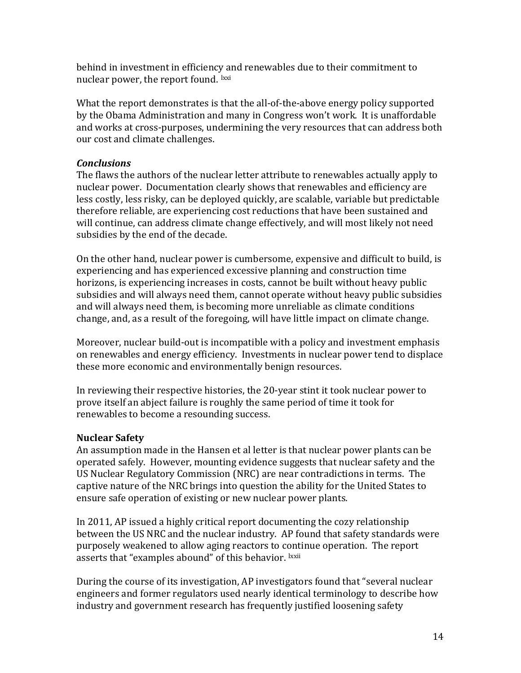<span id="page-13-0"></span>behind in investment in efficiency and renewables due to their commitment to nuclear power, the report found. [lxxi](#page-14-0)

<span id="page-13-1"></span>What the report demonstrates is that the all-of-the-above energy policy supported by the Obama Administration and many in Congress won't work. It is unaffordable and works at cross-purposes, undermining the very resources that can address both our cost and climate challenges.

# <span id="page-13-2"></span>*Conclusions*

<span id="page-13-4"></span><span id="page-13-3"></span>The flaws the authors of the nuclear letter attribute to renewables actually apply to nuclear power. Documentation clearly shows that renewables and efficiency are less costly, less risky, can be deployed quickly, are scalable, variable but predictable therefore reliable, are experiencing cost reductions that have been sustained and will continue, can address climate change effectively, and will most likely not need subsidies by the end of the decade.

<span id="page-13-5"></span>On the other hand, nuclear power is cumbersome, expensive and difficult to build, is experiencing and has experienced excessive planning and construction time horizons, is experiencing increases in costs, cannot be built without heavy public subsidies and will always need them, cannot operate without heavy public subsidies and will always need them, is becoming more unreliable as climate conditions change, and, as a result of the foregoing, will have little impact on climate change.

Moreover, nuclear build-out is incompatible with a policy and investment emphasis on renewables and energy efficiency. Investments in nuclear power tend to displace these more economic and environmentally benign resources.

In reviewing their respective histories, the 20-year stint it took nuclear power to prove itself an abject failure is roughly the same period of time it took for renewables to become a resounding success.

## **Nuclear Safety**

An assumption made in the Hansen et al letter is that nuclear power plants can be operated safely. However, mounting evidence suggests that nuclear safety and the US Nuclear Regulatory Commission (NRC) are near contradictions in terms. The captive nature of the NRC brings into question the ability for the United States to ensure safe operation of existing or new nuclear power plants.

In 2011, AP issued a highly critical report documenting the cozy relationship between the US NRC and the nuclear industry. AP f[o](#page-14-1)und that safety standards were purposely weakened to allow aging reactors to continue operation. The report asserts that "examples abound" of this behavior. Ixxii

During the course of its investigation, AP investigators found that "several nuclear engineers and former regulators used nearly identical terminology to describe how industry and government research has frequently justified loosening safety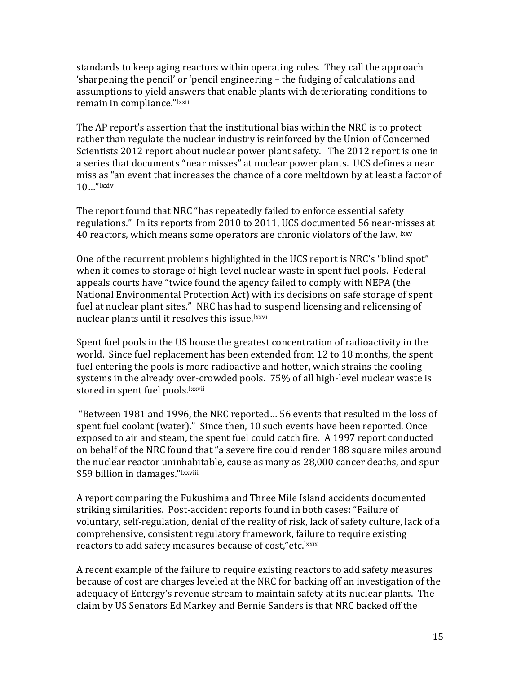standards to keep aging reactors within operating rules. They call the approach 'sharpening the pencil' or ['p](#page-15-0)encil engineering – the fudging of calculations and assumptions to yield answers that enable plants with deteriorating conditions to remain in compliance."<sup>Ixxiii</sup>

The AP report's assertion that the institutional bias within the NRC is to protect rather than regulate the nuclear industry is reinforced by the Union of Concerned Scientists 2012 report about nuclear power plant safety. The 2012 report is one in a series [th](#page-15-1)at documents "near misses" at nuclear power plants. UCS defines a near miss as "an event that increases the chance of a core meltdown by at least a factor of 10…"lxxiv

The report found that NRC "has repeatedly failed to enforce essential safety regulations." In its reports from 2010 to 2011, UCS documented 56 near-misses at 40 reactors, which means some operators are chronic violators of the law.  $\frac{lxxv}{ }$  $\frac{lxxv}{ }$  $\frac{lxxv}{ }$ 

<span id="page-14-1"></span><span id="page-14-0"></span>One of the recurrent problems highlighted in the UCS report is NRC's "blind spot" when it comes to storage of high-level nuclear waste in spent fuel pools. Federal appeals courts have "twice found the agency failed to comply with NEPA (the National Environmental Protection Act) wit[h](#page-15-3) its decisions on safe storage of spent fuel at nuclear plant sites." NRC has had to suspend licensing and relicensing of nuclear plants until it resolves this issue.<sup>lxxvi</sup>

Spent fuel pools in the US house the greatest concentration of radioactivity in the world. Since fuel replacement has been extended from 12 to 18 months, the spent fuel entering the pools is mor[e](#page-15-4) radioactive and hotter, which strains the cooling systems in the already over-crowded pools. 75% of all high-level nuclear waste is stored in spent fuel pools. Ixxvii

"Between 1981 and 1996, the NRC reported… 56 events that resulted in the loss of spent fuel coolant (water)." Since then, 10 such events have been reported. Once exposed to air and steam, the spent fuel could catch fire. A 1997 report conducted on behalf of the NRC found that "a severe fire could render 188 square miles around the nuclear reactor uninhab[i](#page-15-5)table, cause as many as 28,000 cancer deaths, and spur \$59 billion in damages."Ixxviii

A report comparing the Fukushima and Three Mile Island accidents documented striking similarities. Post-accident reports found in both cases: "Failure of voluntary, self-regulation, denial of the reality of risk, la[c](#page-15-6)k of safety culture, lack of a comprehensive, consistent regulatory framework, failure to require existing reactors to add safety measures because of cost,"etc.lxxix

A recent example of the failure to require existing reactors to add safety measures because of cost are charges leveled at the NRC for backing off an investigation of the adequacy of Entergy's revenue stream to maintain safety at its nuclear plants. The claim by US Senators Ed Markey and Bernie Sanders is that NRC backed off the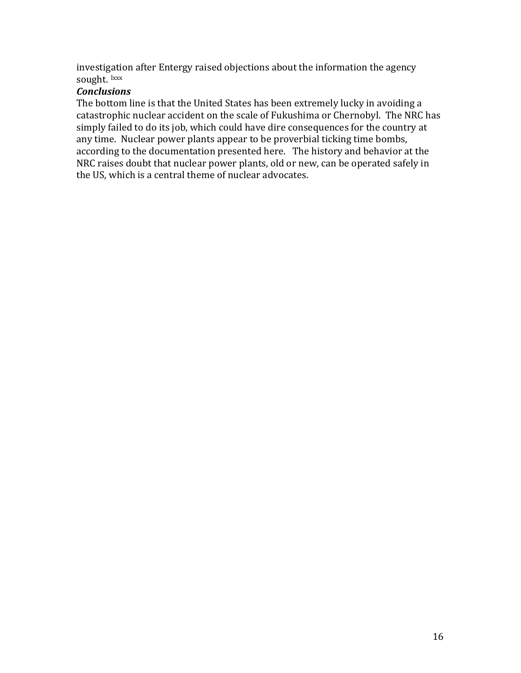investigation after Entergy raised objections about the information the agency sought. [lxxx](#page-16-0)

## *Conclusions*

<span id="page-15-6"></span><span id="page-15-5"></span><span id="page-15-4"></span><span id="page-15-3"></span><span id="page-15-2"></span><span id="page-15-1"></span><span id="page-15-0"></span>The bottom line is that the United States has been extremely lucky in avoiding a catastrophic nuclear accident on the scale of Fukushima or Chernobyl. The NRC has simply failed to do its job, which could have dire consequences for the country at any time. Nuclear power plants appear to be proverbial ticking time bombs, according to the documentation presented here. The history and behavior at the NRC raises doubt that nuclear power plants, old or new, can be operated safely in the US, which is a central theme of nuclear advocates.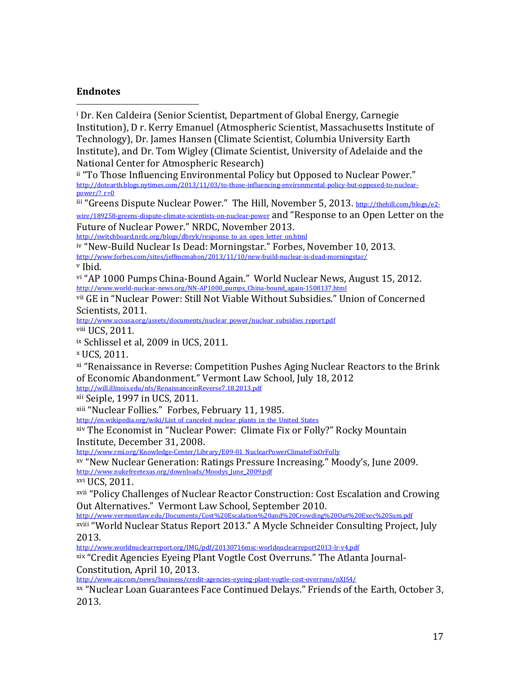## **Endnotes**

 i Dr. Ken Caldeira (Senior Scientist, Department of Global Energy, Carnegie Institution), D r. Kerry Emanuel (Atmospheric Scientist, Massachusetts Institute of Technology), Dr. James Hansen (Climate Scientist, Columbia University Earth Institute), and Dr. Tom Wigley (Climate Scientist, University of Adelaide and the National Center for Atmospheric Research)<br>ii "To Those Influencing Environmental Policy but Opposed to Nuclear Power."

" "To Those Influencing Environmental Policy but Opposed to Nuclear Power." [http://dotearth.blogs.nytimes.com/2013/11/03/to-those-influencing-environmental-policy-but-opposed-to-nuclear](http://dotearth.blogs.nytimes.com/2013/11/03/to-those-influencing-environmental-policy-but-opposed-to-nuclear-power/?_r=0)<u>[power/?\\_r=0](http://dotearth.blogs.nytimes.com/2013/11/03/to-those-influencing-environmental-policy-but-opposed-to-nuclear-power/?_r=0)</u>

iii "Greens Dispute Nuclear Power." The Hill, November 5, 2013. [http://thehill.com/blogs/e2-](http://thehill.com/blogs/e2-wire/189258-greens-dispute-climate-scientists-on-nuclear-power)

[wire/189258-greens-dispute-climate-scientists-on-nuclear-power](http://thehill.com/blogs/e2-wire/189258-greens-dispute-climate-scientists-on-nuclear-power) and "Response to an Open Letter on the Future of Nuclear Power." NRDC, November 2013.

[http://switchboard.nrdc.org/blogs/dbryk/response\\_to\\_an\\_open\\_letter\\_on.html](http://switchboard.nrdc.org/blogs/dbryk/response_to_an_open_letter_on.html)

iv "New-Build Nuclear Is Dead: Morningstar." Forbes, November 10, 2013. <http://www.forbes.com/sites/jeffmcmahon/2013/11/10/new-build-nuclear-is-dead-morningstar/> <sup>v</sup> Ibid.

vi "AP 1000 Pumps China-Bound Again." World Nuclear News, August 15, 2012. [http://www.world-nuclear-news.org/NN-AP1000\\_pumps\\_China-bound\\_again-1508137.html](http://www.world-nuclear-news.org/NN-AP1000_pumps_China-bound_again-1508137.html)

vii GE in "Nuclear Power: Still Not Viable Without Subsidies." Union of Concerned Scientists, 2011.

[http://www.ucsusa.org/assets/documents/nuclear\\_power/nuclear\\_subsidies\\_report.pdf](http://www.ucsusa.org/assets/documents/nuclear_power/nuclear_subsidies_report.pdf)

viii UCS, 2011.

ix Schlissel et al, 2009 in UCS, 2011.

<sup>x</sup> UCS, 2011.

xi "Renaissance in Reverse: Competition Pushes Aging Nuclear Reactors to the Brink of Economic Abandonment." Vermont Law School, July 18, 2012 <http://will.illinois.edu/nfs/RenaissanceinReverse7.18.2013.pdf>

xii Seiple, 1997 in UCS, 2011.

xiii "Nuclear Follies." Forbes, February 11, 1985.

<span id="page-16-0"></span>http://en.wikipedia.org/wiki/List of canceled nuclear plants in the United States

xiv The Economist in "Nuclear Power: Climate Fix or Folly?" Rocky Mountain Institute, December 31, 2008.

[http://www.rmi.org/Knowledge-Center/Library/E09-01\\_NuclearPowerClimateFixOrFolly](http://www.rmi.org/Knowledge-Center/Library/E09-01_NuclearPowerClimateFixOrFolly)

xv "New Nuclear Generation: Ratings Pressure Increasing." Moody's, June 2009. http://www.nukefreetexas.org/downloads/Moodys June 2009.pdf

xvi UCS, 2011.

xvii "Policy Challenges of Nuclear Reactor Construction: Cost Escalation and Crowing Out Alternatives." Vermont Law School, September 2010.

<http://www.vermontlaw.edu/Documents/Cost%20Escalation%20and%20Crowding%20Out%20Exec%20Sum.pdf> xviii "World Nuclear Status Report 2013." A Mycle Schneider Consulting Project, July

2013.<br>http://www.worldnuclearreport.org/IMG/pdf/20130716msc-worldnuclearreport2013-lr-v4.pdf

<sup>xix</sup> "Credit Agencies Eyeing Plant Vogtle Cost Overruns." The Atlanta Journal-Constitution, April 10, 2013.<br>http://www.aic.com/news/business/credi

redit-agencies-eyeing-plant-vogtle-cost-overruns/nXJS4/

xx "Nuclear Loan Guarantees Face Continued Delays." Friends of the Earth, October 3, 2013.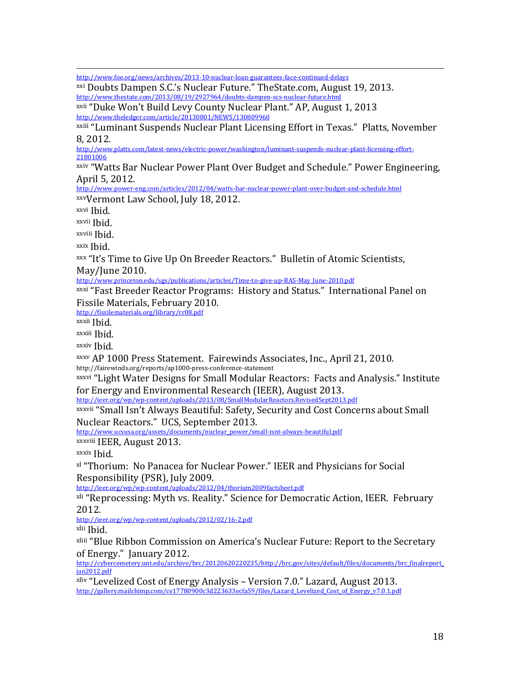<http://www.foe.org/news/archives/2013-10-nuclear-loan-guarantees-face-continued-delays>

xxi Doubts Dampen S.C.'s Nuclear Future." The State.com, August 19, 2013. <http://www.thestate.com/2013/08/19/2927964/doubts-dampen-scs-nuclear-future.html>

xxii "Duke Won't Build Levy County Nuclear Plant." AP, August 1, 2013 <http://www.theledger.com/article/20130801/NEWS/130809960>

xxiii "Luminant Suspends Nuclear Plant Licensing Effort in Texas." Platts, November 8, 2012.

[http://www.platts.com/latest-news/electric-power/washington/luminant-suspends-nuclear-plant-licensing-effort-](http://www.platts.com/latest-news/electric-power/washington/luminant-suspends-nuclear-plant-licensing-effort-21801006)[21801006](http://www.platts.com/latest-news/electric-power/washington/luminant-suspends-nuclear-plant-licensing-effort-21801006)

xxiv "Watts Bar Nuclear Power Plant Over Budget and Schedule." Power Engineering, April 5, 2012.

<http://www.power-eng.com/articles/2012/04/watts-bar-nuclear-power-plant-over-budget-and-schedule.html>

xxvVermont Law School, July 18, 2012.

xxvi Ibid.

xxvii Ibid.

xxviii Ibid.

xxix Ibid.

xxx "It's Time to Give Up On Breeder Reactors." Bulletin of Atomic Scientists, May/June 2010.

[http://www.princeton.edu/sgs/publications/articles/Time-to-give-up-BAS-May\\_June-2010.pdf](http://www.princeton.edu/sgs/publications/articles/Time-to-give-up-BAS-May_June-2010.pdf)

xxxi "Fast Breeder Reactor Programs: History and Status." International Panel on Fissile Materials, February 2010.

<http://fissilematerials.org/library/rr08.pdf>

xxxii Ibid.

xxxiii Ibid.

xxxiv Ibid.

xxxv AP 1000 Press Statement. Fairewinds Associates, Inc., April 21, 2010. http://fairewinds.org/reports/ap1000-press-conference-statement

xxxvi "Light Water Designs for Small Modular Reactors: Facts and Analysis." Institute for Energy and Environmental Research (IEER), August 2013.

<http://ieer.org/wp/wp-content/uploads/2013/08/SmallModularReactors.RevisedSept2013.pdf>

xxxvii "Small Isn't Always Beautiful: Safety, Security and Cost Concerns about Small Nuclear Reactors." UCS, September 2013.

[http://www.ucsusa.org/assets/documents/nuclear\\_power/small-isnt-always-beautiful.pdf](http://www.ucsusa.org/assets/documents/nuclear_power/small-isnt-always-beautiful.pdf)

xxxviii IEER, August 2013.

xxxix Ibid.

xl "Thorium: No Panacea for Nuclear Power." IEER and Physicians for Social Responsibility (PSR), July 2009.

<http://ieer.org/wp/wp-content/uploads/2012/04/thorium2009factsheet.pdf>

xli "Reprocessing: Myth vs. Reality." Science for Democratic Action, IEER. February 2012.

<http://ieer.org/wp/wp-content/uploads/2012/02/16-2.pdf> xlii Ibid.

xliii "Blue Ribbon Commission on America's Nuclear Future: Report to the Secretary of Energy." January 2012.

[http://cybercemetery.unt.edu/archive/brc/20120620220235/http://brc.gov/sites/default/files/documents/brc\\_finalreport\\_](http://cybercemetery.unt.edu/archive/brc/20120620220235/http:/brc.gov/sites/default/files/documents/brc_finalreport_jan2012.pdf) [jan2012.pdf](http://cybercemetery.unt.edu/archive/brc/20120620220235/http:/brc.gov/sites/default/files/documents/brc_finalreport_jan2012.pdf)

xliv "Levelized Cost of Energy Analysis – Version 7.0." Lazard, August 2013. [http://gallery.mailchimp.com/ce17780900c3d223633ecfa59/files/Lazard\\_Levelized\\_Cost\\_of\\_Energy\\_v7.0.1.pdf](http://gallery.mailchimp.com/ce17780900c3d223633ecfa59/files/Lazard_Levelized_Cost_of_Energy_v7.0.1.pdf)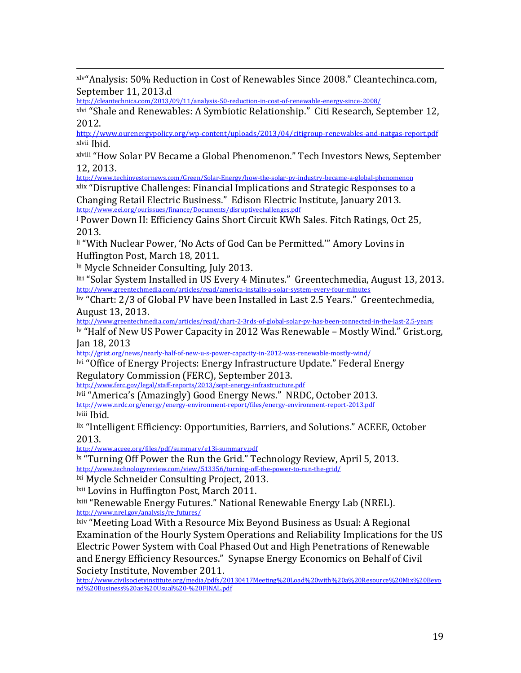xlv"Analysis: 50% Reduction in Cost of Renewables Since 2008." Cleantechinca.com, September 11, 2013.d

<http://cleantechnica.com/2013/09/11/analysis-50-reduction-in-cost-of-renewable-energy-since-2008/>

xlvi "Shale and Renewables: A Symbiotic Relationship." Citi Research, September 12, 2012.

<http://www.ourenergypolicy.org/wp-content/uploads/2013/04/citigroup-renewables-and-natgas-report.pdf> xlvii Ibid.

xlviii "How Solar PV Became a Global Phenomenon." Tech Investors News, September 12, 2013.

<http://www.techinvestornews.com/Green/Solar-Energy/how-the-solar-pv-industry-became-a-global-phenomenon>

xlix "Disruptive Challenges: Financial Implications and Strategic Responses to a Changing Retail Electric Business." Edison Electric Institute, January 2013. <http://www.eei.org/ourissues/finance/Documents/disruptivechallenges.pdf>

<sup>1</sup> Power Down II: Efficiency Gains Short Circuit KWh Sales. Fitch Ratings, Oct 25, 2013.

li "With Nuclear Power, 'No Acts of God Can be Permitted.'" Amory Lovins in Huffington Post, March 18, 2011.

lii Mycle Schneider Consulting, July 2013.

liii "Solar System Installed in US Every 4 Minutes." Greentechmedia, August 13, 2013. <http://www.greentechmedia.com/articles/read/america-installs-a-solar-system-every-four-minutes>

liv "Chart: 2/3 of Global PV have been Installed in Last 2.5 Years." Greentechmedia, August 13, 2013.

<http://www.greentechmedia.com/articles/read/chart-2-3rds-of-global-solar-pv-has-been-connected-in-the-last-2.5-years>

lv "Half of New US Power Capacity in 2012 Was Renewable – Mostly Wind." Grist.org, Jan 18, 2013

<http://grist.org/news/nearly-half-of-new-u-s-power-capacity-in-2012-was-renewable-mostly-wind/>

lvi "Office of Energy Projects: Energy Infrastructure Update." Federal Energy Regulatory Commission (FERC), September 2013.<br>http://www.ferc.gov/legal/staff-reports/2013/sept-energy-infrastructure.pdf

```
http://www.ferc.gov/legal/staff-reports/2013/sept-energy-infrastructure.pdf
```
lvii "America's (Amazingly) Good Energy News." NRDC, October 2013. <http://www.nrdc.org/energy/energy-environment-report/files/energy-environment-report-2013.pdf> lviii Ibid.

lix "Intelligent Efficiency: Opportunities, Barriers, and Solutions." ACEEE, October 2013.

<http://www.aceee.org/files/pdf/summary/e13j-summary.pdf>

 $\frac{1}{x}$  "Turning Off Power the Run the Grid." Technology Review, April 5, 2013. <http://www.technologyreview.com/view/513356/turning-off-the-power-to-run-the-grid/>

<sup>lxi</sup> Mycle Schneider Consulting Project, 2013.

lxii Lovins in Huffington Post, March 2011.

lxiii "Renewable Energy Futures." National Renewable Energy Lab (NREL). [http://www.nrel.gov/analysis/re\\_futures/](http://www.nrel.gov/analysis/re_futures/)

<sup>lxiv</sup> "Meeting Load With a Resource Mix Beyond Business as Usual: A Regional Examination of the Hourly System Operations and Reliability Implications for the US Electric Power System with Coal Phased Out and High Penetrations of Renewable and Energy Efficiency Resources." Synapse Energy Economics on Behalf of Civil Society Institute, November 2011.

[http://www.civilsocietyinstitute.org/media/pdfs/20130417Meeting%20Load%20with%20a%20Resource%20Mix%20Beyo](http://www.civilsocietyinstitute.org/media/pdfs/20130417Meeting%20Load%20with%20a%20Resource%20Mix%20Beyond%20Business%20as%20Usual%20-%20FINAL.pdf) [nd%20Business%20as%20Usual%20-%20FINAL.pdf](http://www.civilsocietyinstitute.org/media/pdfs/20130417Meeting%20Load%20with%20a%20Resource%20Mix%20Beyond%20Business%20as%20Usual%20-%20FINAL.pdf)